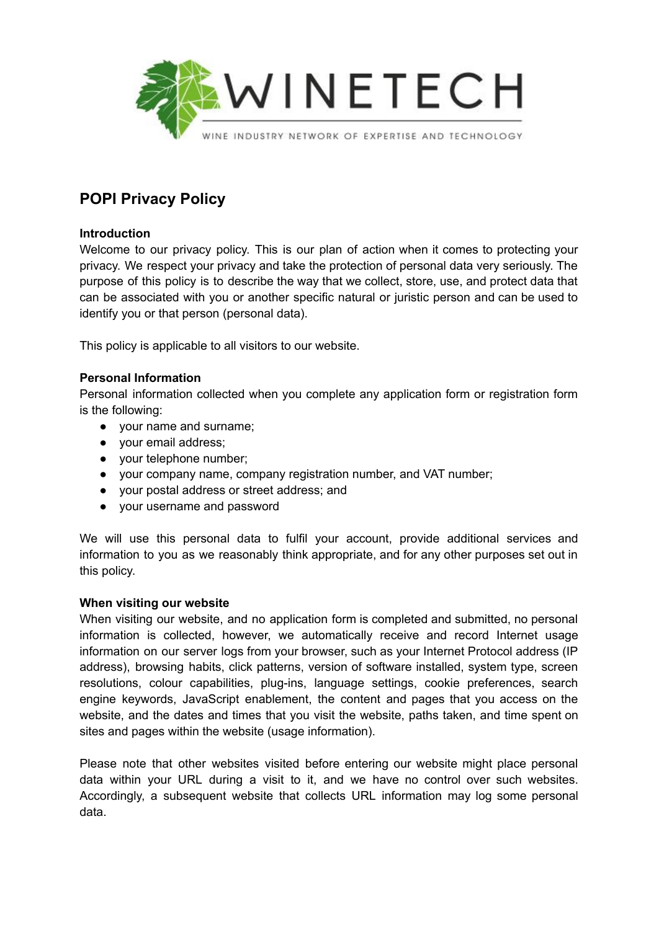

# **POPI Privacy Policy**

## **Introduction**

Welcome to our privacy policy. This is our plan of action when it comes to protecting your privacy. We respect your privacy and take the protection of personal data very seriously. The purpose of this policy is to describe the way that we collect, store, use, and protect data that can be associated with you or another specific natural or juristic person and can be used to identify you or that person (personal data).

This policy is applicable to all visitors to our website.

# **Personal Information**

Personal information collected when you complete any application form or registration form is the following:

- your name and surname;
- your email address;
- your telephone number;
- your company name, company registration number, and VAT number;
- your postal address or street address; and
- your username and password

We will use this personal data to fulfil your account, provide additional services and information to you as we reasonably think appropriate, and for any other purposes set out in this policy.

## **When visiting our website**

When visiting our website, and no application form is completed and submitted, no personal information is collected, however, we automatically receive and record Internet usage information on our server logs from your browser, such as your Internet Protocol address (IP address), browsing habits, click patterns, version of software installed, system type, screen resolutions, colour capabilities, plug-ins, language settings, cookie preferences, search engine keywords, JavaScript enablement, the content and pages that you access on the website, and the dates and times that you visit the website, paths taken, and time spent on sites and pages within the website (usage information).

Please note that other websites visited before entering our website might place personal data within your URL during a visit to it, and we have no control over such websites. Accordingly, a subsequent website that collects URL information may log some personal data.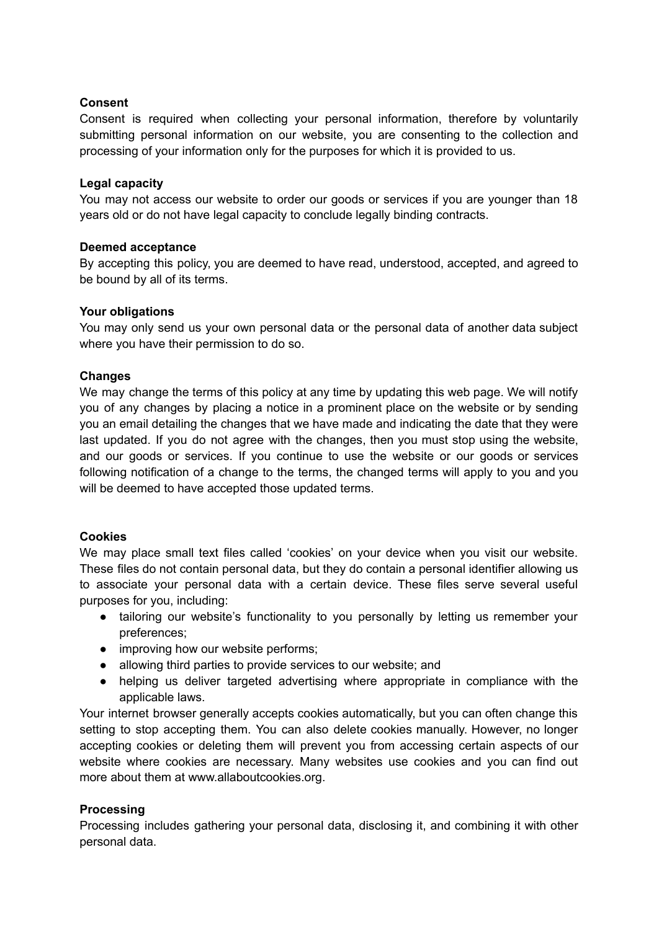## **Consent**

Consent is required when collecting your personal information, therefore by voluntarily submitting personal information on our website, you are consenting to the collection and processing of your information only for the purposes for which it is provided to us.

## **Legal capacity**

You may not access our website to order our goods or services if you are younger than 18 years old or do not have legal capacity to conclude legally binding contracts.

# **Deemed acceptance**

By accepting this policy, you are deemed to have read, understood, accepted, and agreed to be bound by all of its terms.

## **Your obligations**

You may only send us your own personal data or the personal data of another data subject where you have their permission to do so.

# **Changes**

We may change the terms of this policy at any time by updating this web page. We will notify you of any changes by placing a notice in a prominent place on the website or by sending you an email detailing the changes that we have made and indicating the date that they were last updated. If you do not agree with the changes, then you must stop using the website, and our goods or services. If you continue to use the website or our goods or services following notification of a change to the terms, the changed terms will apply to you and you will be deemed to have accepted those updated terms.

## **Cookies**

We may place small text files called 'cookies' on your device when you visit our website. These files do not contain personal data, but they do contain a personal identifier allowing us to associate your personal data with a certain device. These files serve several useful purposes for you, including:

- tailoring our website's functionality to you personally by letting us remember your preferences;
- improving how our website performs;
- allowing third parties to provide services to our website; and
- helping us deliver targeted advertising where appropriate in compliance with the applicable laws.

Your internet browser generally accepts cookies automatically, but you can often change this setting to stop accepting them. You can also delete cookies manually. However, no longer accepting cookies or deleting them will prevent you from accessing certain aspects of our website where cookies are necessary. Many websites use cookies and you can find out more about them at www.allaboutcookies.org.

## **Processing**

Processing includes gathering your personal data, disclosing it, and combining it with other personal data.